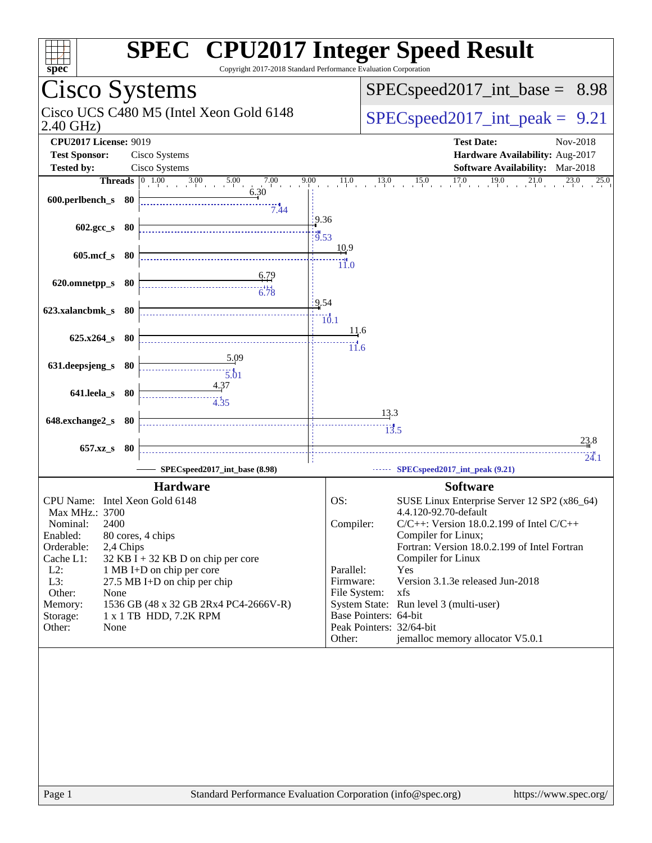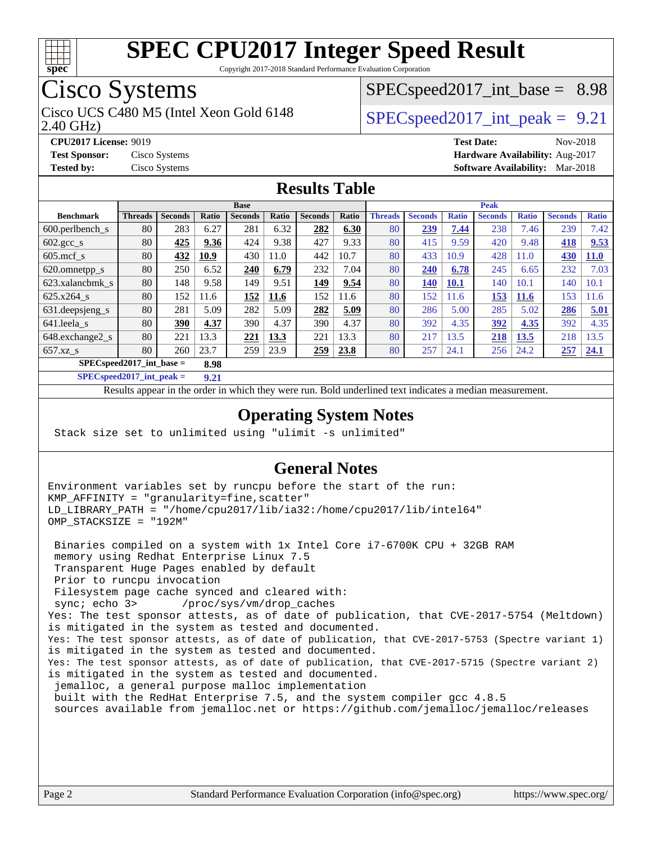

Copyright 2017-2018 Standard Performance Evaluation Corporation

## Cisco Systems

2.40 GHz) Cisco UCS C480 M5 (Intel Xeon Gold 6148  $\vert$  [SPECspeed2017\\_int\\_peak =](http://www.spec.org/auto/cpu2017/Docs/result-fields.html#SPECspeed2017intpeak) 9.21

 $SPECspeed2017\_int\_base = 8.98$ 

**[CPU2017 License:](http://www.spec.org/auto/cpu2017/Docs/result-fields.html#CPU2017License)** 9019 **[Test Date:](http://www.spec.org/auto/cpu2017/Docs/result-fields.html#TestDate)** Nov-2018 **[Test Sponsor:](http://www.spec.org/auto/cpu2017/Docs/result-fields.html#TestSponsor)** Cisco Systems **[Hardware Availability:](http://www.spec.org/auto/cpu2017/Docs/result-fields.html#HardwareAvailability)** Aug-2017 **[Tested by:](http://www.spec.org/auto/cpu2017/Docs/result-fields.html#Testedby)** Cisco Systems **[Software Availability:](http://www.spec.org/auto/cpu2017/Docs/result-fields.html#SoftwareAvailability)** Mar-2018

#### **[Results Table](http://www.spec.org/auto/cpu2017/Docs/result-fields.html#ResultsTable)**

|                                      | <b>Base</b>    |                |       |                |       |                | <b>Peak</b> |                |                |              |                |              |                |              |
|--------------------------------------|----------------|----------------|-------|----------------|-------|----------------|-------------|----------------|----------------|--------------|----------------|--------------|----------------|--------------|
| <b>Benchmark</b>                     | <b>Threads</b> | <b>Seconds</b> | Ratio | <b>Seconds</b> | Ratio | <b>Seconds</b> | Ratio       | <b>Threads</b> | <b>Seconds</b> | <b>Ratio</b> | <b>Seconds</b> | <b>Ratio</b> | <b>Seconds</b> | <b>Ratio</b> |
| 600.perlbench s                      | 80             | 283            | 6.27  | 281            | 6.32  | 282            | 6.30        | 80             | 239            | 7.44         | 238            | 7.46         | 239            | 7.42         |
| $602.\text{gcc}\_\text{s}$           | 80             | 425            | 9.36  | 424            | 9.38  | 427            | 9.33        | 80             | 415            | 9.59         | 420            | 9.48         | 418            | 9.53         |
| $605$ .mcf s                         | 80             | 432            | 10.9  | 430            | 11.0  | 442            | 10.7        | 80             | 433            | 10.9         | 428            | 11.0         | 430            | <b>11.0</b>  |
| 620.omnetpp_s                        | 80             | 250            | 6.52  | 240            | 6.79  | 232            | 7.04        | 80             | 240            | 6.78         | 245            | 6.65         | 232            | 7.03         |
| 623.xalancbmk s                      | 80             | 148            | 9.58  | 149            | 9.51  | 149            | 9.54        | 80             | 140            | <b>10.1</b>  | 140            | 10.1         | 140            | 10.1         |
| 625.x264 s                           | 80             | 152            | 11.6  | 152            | 11.6  | 152            | 11.6        | 80             | 152            | 11.6         | <u>153</u>     | <b>11.6</b>  | 153            | 1.6          |
| 631.deepsjeng_s                      | 80             | 281            | 5.09  | 282            | 5.09  | 282            | 5.09        | 80             | 286            | 5.00         | 285            | 5.02         | 286            | 5.01         |
| 641.leela s                          | 80             | 390            | 4.37  | 390            | 4.37  | 390            | 4.37        | 80             | 392            | 4.35         | 392            | 4.35         | 392            | 4.35         |
| 648.exchange2_s                      | 80             | 221            | 13.3  | 221            | 13.3  | 221            | 13.3        | 80             | 217            | 13.5         | 218            | 13.5         | 218            | 13.5         |
| $657.xz$ <sub>S</sub>                | 80             | 260            | 23.7  | 259            | 23.9  | 259            | 23.8        | 80             | 257            | 24.1         | 256            | 24.2         | 257            | 24.1         |
| $SPECspeed2017\_int\_base =$<br>8.98 |                |                |       |                |       |                |             |                |                |              |                |              |                |              |

**[SPECspeed2017\\_int\\_peak =](http://www.spec.org/auto/cpu2017/Docs/result-fields.html#SPECspeed2017intpeak) 9.21**

Results appear in the [order in which they were run.](http://www.spec.org/auto/cpu2017/Docs/result-fields.html#RunOrder) Bold underlined text [indicates a median measurement](http://www.spec.org/auto/cpu2017/Docs/result-fields.html#Median).

#### **[Operating System Notes](http://www.spec.org/auto/cpu2017/Docs/result-fields.html#OperatingSystemNotes)**

Stack size set to unlimited using "ulimit -s unlimited"

#### **[General Notes](http://www.spec.org/auto/cpu2017/Docs/result-fields.html#GeneralNotes)**

Environment variables set by runcpu before the start of the run: KMP\_AFFINITY = "granularity=fine,scatter" LD\_LIBRARY\_PATH = "/home/cpu2017/lib/ia32:/home/cpu2017/lib/intel64" OMP\_STACKSIZE = "192M"

 Binaries compiled on a system with 1x Intel Core i7-6700K CPU + 32GB RAM memory using Redhat Enterprise Linux 7.5 Transparent Huge Pages enabled by default Prior to runcpu invocation Filesystem page cache synced and cleared with: sync; echo 3> /proc/sys/vm/drop\_caches Yes: The test sponsor attests, as of date of publication, that CVE-2017-5754 (Meltdown) is mitigated in the system as tested and documented. Yes: The test sponsor attests, as of date of publication, that CVE-2017-5753 (Spectre variant 1) is mitigated in the system as tested and documented. Yes: The test sponsor attests, as of date of publication, that CVE-2017-5715 (Spectre variant 2) is mitigated in the system as tested and documented. jemalloc, a general purpose malloc implementation built with the RedHat Enterprise 7.5, and the system compiler gcc 4.8.5 sources available from jemalloc.net or<https://github.com/jemalloc/jemalloc/releases>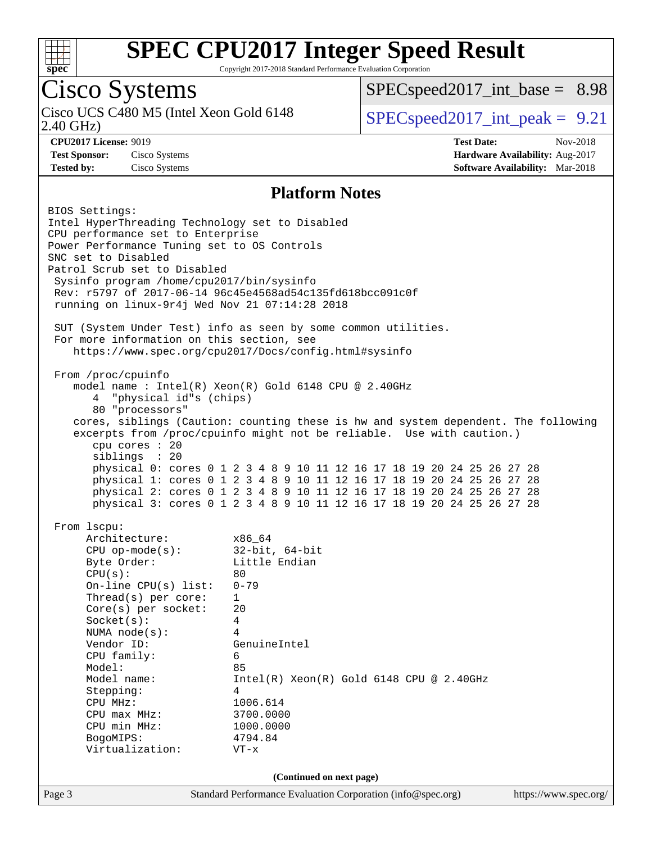

Copyright 2017-2018 Standard Performance Evaluation Corporation

## Cisco Systems

2.40 GHz) Cisco UCS C480 M5 (Intel Xeon Gold 6148  $\vert$  [SPECspeed2017\\_int\\_peak =](http://www.spec.org/auto/cpu2017/Docs/result-fields.html#SPECspeed2017intpeak) 9.21

 $SPECspeed2017\_int\_base = 8.98$ 

**[CPU2017 License:](http://www.spec.org/auto/cpu2017/Docs/result-fields.html#CPU2017License)** 9019 **[Test Date:](http://www.spec.org/auto/cpu2017/Docs/result-fields.html#TestDate)** Nov-2018 **[Test Sponsor:](http://www.spec.org/auto/cpu2017/Docs/result-fields.html#TestSponsor)** Cisco Systems **[Hardware Availability:](http://www.spec.org/auto/cpu2017/Docs/result-fields.html#HardwareAvailability)** Aug-2017 **[Tested by:](http://www.spec.org/auto/cpu2017/Docs/result-fields.html#Testedby)** Cisco Systems **[Software Availability:](http://www.spec.org/auto/cpu2017/Docs/result-fields.html#SoftwareAvailability)** Mar-2018

#### **[Platform Notes](http://www.spec.org/auto/cpu2017/Docs/result-fields.html#PlatformNotes)**

Page 3 Standard Performance Evaluation Corporation [\(info@spec.org\)](mailto:info@spec.org) <https://www.spec.org/> BIOS Settings: Intel HyperThreading Technology set to Disabled CPU performance set to Enterprise Power Performance Tuning set to OS Controls SNC set to Disabled Patrol Scrub set to Disabled Sysinfo program /home/cpu2017/bin/sysinfo Rev: r5797 of 2017-06-14 96c45e4568ad54c135fd618bcc091c0f running on linux-9r4j Wed Nov 21 07:14:28 2018 SUT (System Under Test) info as seen by some common utilities. For more information on this section, see <https://www.spec.org/cpu2017/Docs/config.html#sysinfo> From /proc/cpuinfo model name : Intel(R) Xeon(R) Gold 6148 CPU @ 2.40GHz 4 "physical id"s (chips) 80 "processors" cores, siblings (Caution: counting these is hw and system dependent. The following excerpts from /proc/cpuinfo might not be reliable. Use with caution.) cpu cores : 20 siblings : 20 physical 0: cores 0 1 2 3 4 8 9 10 11 12 16 17 18 19 20 24 25 26 27 28 physical 1: cores 0 1 2 3 4 8 9 10 11 12 16 17 18 19 20 24 25 26 27 28 physical 2: cores 0 1 2 3 4 8 9 10 11 12 16 17 18 19 20 24 25 26 27 28 physical 3: cores 0 1 2 3 4 8 9 10 11 12 16 17 18 19 20 24 25 26 27 28 From lscpu: Architecture: x86\_64 CPU op-mode(s): 32-bit, 64-bit Byte Order: Little Endian  $CPU(s):$  80 On-line CPU(s) list: 0-79 Thread(s) per core: 1 Core(s) per socket: 20 Socket(s): 4 NUMA node(s): 4 Vendor ID: GenuineIntel CPU family: 6 Model: 85 Model name: Intel(R) Xeon(R) Gold 6148 CPU @ 2.40GHz Stepping: 4 CPU MHz: 1006.614<br>
CPU max MHz: 3700.0000  $CPU$  max  $MHz$ : CPU min MHz: 1000.0000 BogoMIPS: 4794.84 Virtualization: VT-x **(Continued on next page)**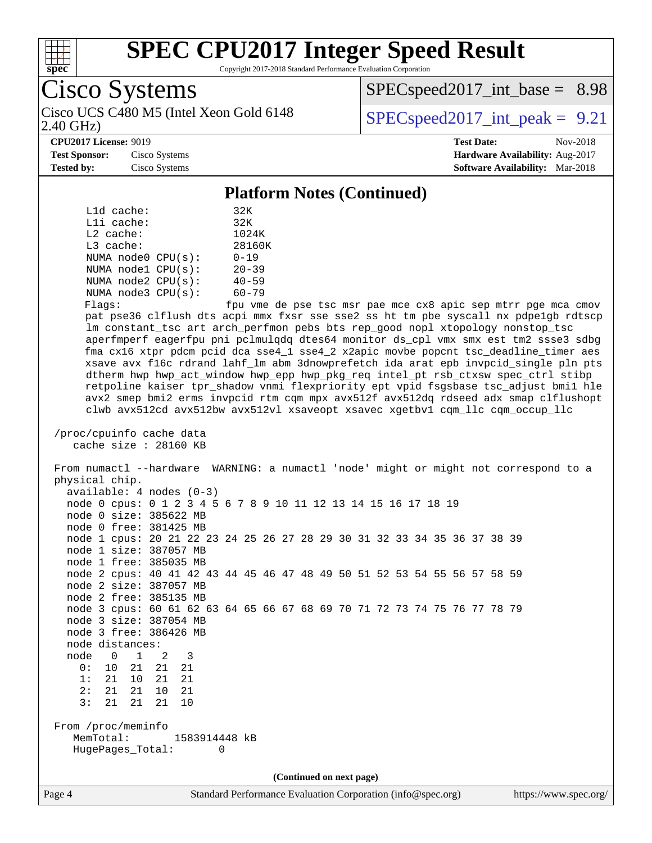

Copyright 2017-2018 Standard Performance Evaluation Corporation

|                      | $\sim$ Dysicilis                   |
|----------------------|------------------------------------|
|                      | Cisco UCS C480 M5 (Intel Xeon Gold |
| $(2.40 \text{ GHz})$ |                                    |

 $SPECspeed2017\_int\_base = 8.98$ 

 $6148$  [SPECspeed2017\\_int\\_peak =](http://www.spec.org/auto/cpu2017/Docs/result-fields.html#SPECspeed2017intpeak) 9.21

#### **[CPU2017 License:](http://www.spec.org/auto/cpu2017/Docs/result-fields.html#CPU2017License)** 9019 **[Test Date:](http://www.spec.org/auto/cpu2017/Docs/result-fields.html#TestDate)** Nov-2018

**[Test Sponsor:](http://www.spec.org/auto/cpu2017/Docs/result-fields.html#TestSponsor)** Cisco Systems **[Hardware Availability:](http://www.spec.org/auto/cpu2017/Docs/result-fields.html#HardwareAvailability)** Aug-2017 **[Tested by:](http://www.spec.org/auto/cpu2017/Docs/result-fields.html#Testedby)** Cisco Systems **[Software Availability:](http://www.spec.org/auto/cpu2017/Docs/result-fields.html#SoftwareAvailability)** Mar-2018

Cisco Systems

#### **[Platform Notes \(Continued\)](http://www.spec.org/auto/cpu2017/Docs/result-fields.html#PlatformNotes)**

|             | L1d cache: |                         | 32K       |
|-------------|------------|-------------------------|-----------|
|             | Lli cache: |                         | 32K       |
| $L2$ cache: | 1024K      |                         |           |
| $L3$ cache: |            |                         | 28160K    |
|             |            | NUMA node0 CPU(s):      | $0 - 19$  |
|             |            | NUMA $node1$ $CPU(s)$ : | $20 - 39$ |
|             |            | NUMA $node2$ $CPU(s)$ : | $40 - 59$ |
|             |            | NUMA node3 CPU(s):      | $60 - 79$ |
|             |            |                         |           |

Flags: fpu vme de pse tsc msr pae mce cx8 apic sep mtrr pge mca cmov pat pse36 clflush dts acpi mmx fxsr sse sse2 ss ht tm pbe syscall nx pdpe1gb rdtscp lm constant\_tsc art arch\_perfmon pebs bts rep\_good nopl xtopology nonstop\_tsc aperfmperf eagerfpu pni pclmulqdq dtes64 monitor ds\_cpl vmx smx est tm2 ssse3 sdbg fma cx16 xtpr pdcm pcid dca sse4\_1 sse4\_2 x2apic movbe popcnt tsc\_deadline\_timer aes xsave avx f16c rdrand lahf\_lm abm 3dnowprefetch ida arat epb invpcid\_single pln pts dtherm hwp hwp\_act\_window hwp\_epp hwp\_pkg\_req intel\_pt rsb\_ctxsw spec\_ctrl stibp retpoline kaiser tpr\_shadow vnmi flexpriority ept vpid fsgsbase tsc\_adjust bmi1 hle avx2 smep bmi2 erms invpcid rtm cqm mpx avx512f avx512dq rdseed adx smap clflushopt clwb avx512cd avx512bw avx512vl xsaveopt xsavec xgetbv1 cqm\_llc cqm\_occup\_llc

```
 /proc/cpuinfo cache data
    cache size : 28160 KB
```
 From numactl --hardware WARNING: a numactl 'node' might or might not correspond to a physical chip. available: 4 nodes (0-3) node 0 cpus: 0 1 2 3 4 5 6 7 8 9 10 11 12 13 14 15 16 17 18 19 node 0 size: 385622 MB node 0 free: 381425 MB node 1 cpus: 20 21 22 23 24 25 26 27 28 29 30 31 32 33 34 35 36 37 38 39 node 1 size: 387057 MB node 1 free: 385035 MB node 2 cpus: 40 41 42 43 44 45 46 47 48 49 50 51 52 53 54 55 56 57 58 59 node 2 size: 387057 MB node 2 free: 385135 MB node 3 cpus: 60 61 62 63 64 65 66 67 68 69 70 71 72 73 74 75 76 77 78 79 node 3 size: 387054 MB node 3 free: 386426 MB node distances: node 0 1 2 3 0: 10 21 21 21 1: 21 10 21 21 2: 21 21 10 21 3: 21 21 21 10 From /proc/meminfo

 MemTotal: 1583914448 kB HugePages\_Total: 0

**(Continued on next page)**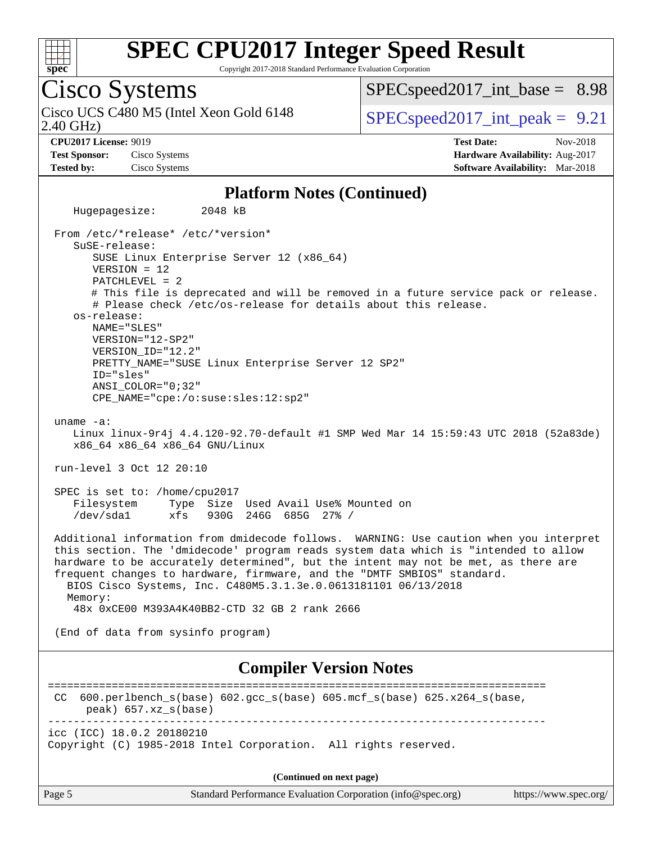

Copyright 2017-2018 Standard Performance Evaluation Corporation

## Cisco Systems

2.40 GHz) Cisco UCS C480 M5 (Intel Xeon Gold 6148  $\vert$  [SPECspeed2017\\_int\\_peak =](http://www.spec.org/auto/cpu2017/Docs/result-fields.html#SPECspeed2017intpeak) 9.21

 $SPECspeed2017\_int\_base = 8.98$ 

**[CPU2017 License:](http://www.spec.org/auto/cpu2017/Docs/result-fields.html#CPU2017License)** 9019 **[Test Date:](http://www.spec.org/auto/cpu2017/Docs/result-fields.html#TestDate)** Nov-2018 **[Test Sponsor:](http://www.spec.org/auto/cpu2017/Docs/result-fields.html#TestSponsor)** Cisco Systems **[Hardware Availability:](http://www.spec.org/auto/cpu2017/Docs/result-fields.html#HardwareAvailability)** Aug-2017 **[Tested by:](http://www.spec.org/auto/cpu2017/Docs/result-fields.html#Testedby)** Cisco Systems **[Software Availability:](http://www.spec.org/auto/cpu2017/Docs/result-fields.html#SoftwareAvailability)** Mar-2018

#### **[Platform Notes \(Continued\)](http://www.spec.org/auto/cpu2017/Docs/result-fields.html#PlatformNotes)**

 Hugepagesize: 2048 kB From /etc/\*release\* /etc/\*version\* SuSE-release: SUSE Linux Enterprise Server 12 (x86\_64) VERSION = 12 PATCHLEVEL = 2 # This file is deprecated and will be removed in a future service pack or release. # Please check /etc/os-release for details about this release. os-release: NAME="SLES" VERSION="12-SP2" VERSION\_ID="12.2" PRETTY\_NAME="SUSE Linux Enterprise Server 12 SP2" ID="sles" ANSI\_COLOR="0;32" CPE\_NAME="cpe:/o:suse:sles:12:sp2" uname -a: Linux linux-9r4j 4.4.120-92.70-default #1 SMP Wed Mar 14 15:59:43 UTC 2018 (52a83de) x86\_64 x86\_64 x86\_64 GNU/Linux run-level 3 Oct 12 20:10 SPEC is set to: /home/cpu2017 Filesystem Type Size Used Avail Use% Mounted on /dev/sda1 xfs 930G 246G 685G 27% / Additional information from dmidecode follows. WARNING: Use caution when you interpret this section. The 'dmidecode' program reads system data which is "intended to allow hardware to be accurately determined", but the intent may not be met, as there are frequent changes to hardware, firmware, and the "DMTF SMBIOS" standard. BIOS Cisco Systems, Inc. C480M5.3.1.3e.0.0613181101 06/13/2018 Memory: 48x 0xCE00 M393A4K40BB2-CTD 32 GB 2 rank 2666 (End of data from sysinfo program) **[Compiler Version Notes](http://www.spec.org/auto/cpu2017/Docs/result-fields.html#CompilerVersionNotes)** ============================================================================== CC 600.perlbench\_s(base) 602.gcc\_s(base) 605.mcf\_s(base) 625.x264\_s(base, peak) 657.xz\_s(base) ----------------------------------------------------------------------------- icc (ICC) 18.0.2 20180210 Copyright (C) 1985-2018 Intel Corporation. All rights reserved. **(Continued on next page)**

Page 5 Standard Performance Evaluation Corporation [\(info@spec.org\)](mailto:info@spec.org) <https://www.spec.org/>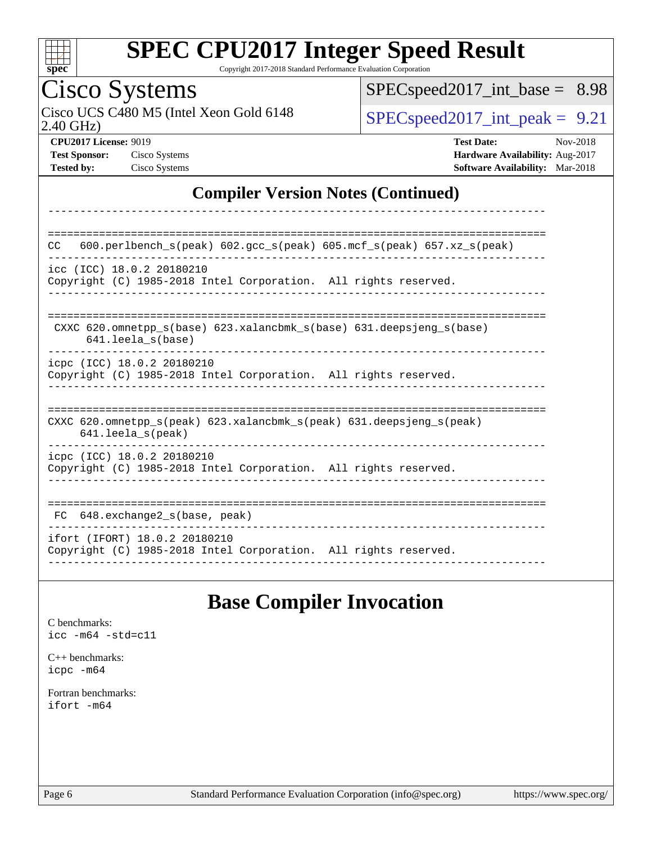

Copyright 2017-2018 Standard Performance Evaluation Corporation

## Cisco Systems

2.40 GHz) Cisco UCS C480 M5 (Intel Xeon Gold 6148  $SPEC speed2017\_int\_peak = 9.21$ 

[SPECspeed2017\\_int\\_base =](http://www.spec.org/auto/cpu2017/Docs/result-fields.html#SPECspeed2017intbase) 8.98

**[CPU2017 License:](http://www.spec.org/auto/cpu2017/Docs/result-fields.html#CPU2017License)** 9019 **[Test Date:](http://www.spec.org/auto/cpu2017/Docs/result-fields.html#TestDate)** Nov-2018 **[Test Sponsor:](http://www.spec.org/auto/cpu2017/Docs/result-fields.html#TestSponsor)** Cisco Systems **[Hardware Availability:](http://www.spec.org/auto/cpu2017/Docs/result-fields.html#HardwareAvailability)** Aug-2017 **[Tested by:](http://www.spec.org/auto/cpu2017/Docs/result-fields.html#Testedby)** Cisco Systems **[Software Availability:](http://www.spec.org/auto/cpu2017/Docs/result-fields.html#SoftwareAvailability)** Mar-2018

#### **[Compiler Version Notes \(Continued\)](http://www.spec.org/auto/cpu2017/Docs/result-fields.html#CompilerVersionNotes)**

| 600.perlbench $s$ (peak) 602.gcc $s$ (peak) 605.mcf $s$ (peak) 657.xz $s$ (peak)<br><b>CC</b>                              |
|----------------------------------------------------------------------------------------------------------------------------|
| icc (ICC) 18.0.2 20180210<br>Copyright (C) 1985-2018 Intel Corporation. All rights reserved.                               |
| CXXC 620.omnetpp $s(base)$ 623.xalancbmk $s(base)$ 631.deepsjeng $s(base)$<br>$641.$ leela $s$ (base)                      |
| icpc (ICC) 18.0.2 20180210<br>Copyright (C) 1985-2018 Intel Corporation. All rights reserved.                              |
| CXXC 620.omnetpp $s(\text{peak})$ 623.xalancbmk $s(\text{peak})$ 631.deepsjeng $s(\text{peak})$<br>$641.$ leela $s$ (peak) |
| icpc (ICC) 18.0.2 20180210<br>Copyright (C) 1985-2018 Intel Corporation. All rights reserved.                              |
| 648.exchange2 s(base, peak)<br>FC.                                                                                         |
| ifort (IFORT) 18.0.2 20180210<br>Copyright (C) 1985-2018 Intel Corporation. All rights reserved.                           |

#### **[Base Compiler Invocation](http://www.spec.org/auto/cpu2017/Docs/result-fields.html#BaseCompilerInvocation)**

[C benchmarks](http://www.spec.org/auto/cpu2017/Docs/result-fields.html#Cbenchmarks): [icc -m64 -std=c11](http://www.spec.org/cpu2017/results/res2018q4/cpu2017-20181127-09976.flags.html#user_CCbase_intel_icc_64bit_c11_33ee0cdaae7deeeab2a9725423ba97205ce30f63b9926c2519791662299b76a0318f32ddfffdc46587804de3178b4f9328c46fa7c2b0cd779d7a61945c91cd35)

[C++ benchmarks:](http://www.spec.org/auto/cpu2017/Docs/result-fields.html#CXXbenchmarks) [icpc -m64](http://www.spec.org/cpu2017/results/res2018q4/cpu2017-20181127-09976.flags.html#user_CXXbase_intel_icpc_64bit_4ecb2543ae3f1412ef961e0650ca070fec7b7afdcd6ed48761b84423119d1bf6bdf5cad15b44d48e7256388bc77273b966e5eb805aefd121eb22e9299b2ec9d9)

[Fortran benchmarks](http://www.spec.org/auto/cpu2017/Docs/result-fields.html#Fortranbenchmarks): [ifort -m64](http://www.spec.org/cpu2017/results/res2018q4/cpu2017-20181127-09976.flags.html#user_FCbase_intel_ifort_64bit_24f2bb282fbaeffd6157abe4f878425411749daecae9a33200eee2bee2fe76f3b89351d69a8130dd5949958ce389cf37ff59a95e7a40d588e8d3a57e0c3fd751)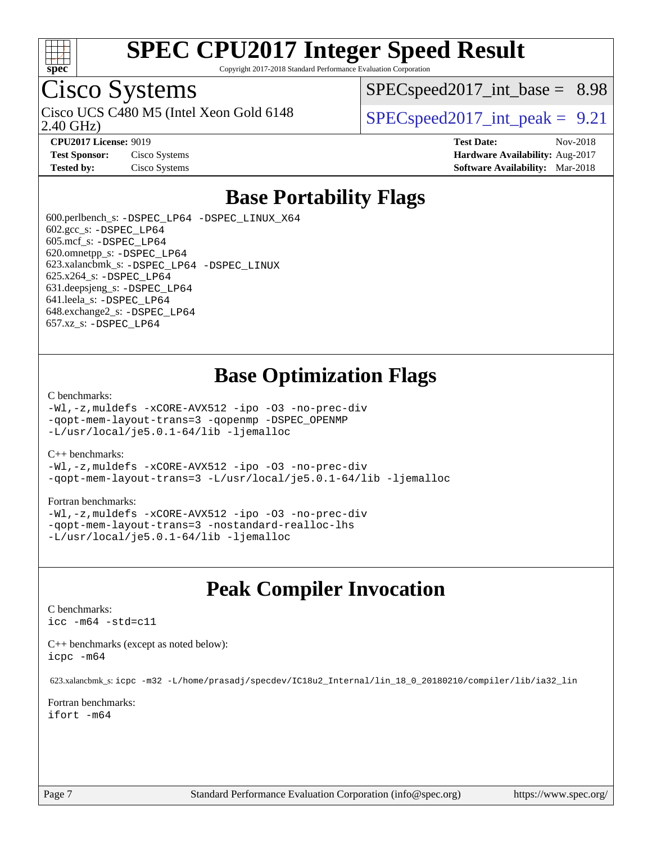

Copyright 2017-2018 Standard Performance Evaluation Corporation

## Cisco Systems

2.40 GHz) Cisco UCS C480 M5 (Intel Xeon Gold 6148  $\vert$  [SPECspeed2017\\_int\\_peak =](http://www.spec.org/auto/cpu2017/Docs/result-fields.html#SPECspeed2017intpeak) 9.21

 $SPECspeed2017\_int\_base = 8.98$ 

**[CPU2017 License:](http://www.spec.org/auto/cpu2017/Docs/result-fields.html#CPU2017License)** 9019 **[Test Date:](http://www.spec.org/auto/cpu2017/Docs/result-fields.html#TestDate)** Nov-2018 **[Test Sponsor:](http://www.spec.org/auto/cpu2017/Docs/result-fields.html#TestSponsor)** Cisco Systems **[Hardware Availability:](http://www.spec.org/auto/cpu2017/Docs/result-fields.html#HardwareAvailability)** Aug-2017 **[Tested by:](http://www.spec.org/auto/cpu2017/Docs/result-fields.html#Testedby)** Cisco Systems **[Software Availability:](http://www.spec.org/auto/cpu2017/Docs/result-fields.html#SoftwareAvailability)** Mar-2018

### **[Base Portability Flags](http://www.spec.org/auto/cpu2017/Docs/result-fields.html#BasePortabilityFlags)**

 600.perlbench\_s: [-DSPEC\\_LP64](http://www.spec.org/cpu2017/results/res2018q4/cpu2017-20181127-09976.flags.html#b600.perlbench_s_basePORTABILITY_DSPEC_LP64) [-DSPEC\\_LINUX\\_X64](http://www.spec.org/cpu2017/results/res2018q4/cpu2017-20181127-09976.flags.html#b600.perlbench_s_baseCPORTABILITY_DSPEC_LINUX_X64) 602.gcc\_s: [-DSPEC\\_LP64](http://www.spec.org/cpu2017/results/res2018q4/cpu2017-20181127-09976.flags.html#suite_basePORTABILITY602_gcc_s_DSPEC_LP64) 605.mcf\_s: [-DSPEC\\_LP64](http://www.spec.org/cpu2017/results/res2018q4/cpu2017-20181127-09976.flags.html#suite_basePORTABILITY605_mcf_s_DSPEC_LP64) 620.omnetpp\_s: [-DSPEC\\_LP64](http://www.spec.org/cpu2017/results/res2018q4/cpu2017-20181127-09976.flags.html#suite_basePORTABILITY620_omnetpp_s_DSPEC_LP64) 623.xalancbmk\_s: [-DSPEC\\_LP64](http://www.spec.org/cpu2017/results/res2018q4/cpu2017-20181127-09976.flags.html#suite_basePORTABILITY623_xalancbmk_s_DSPEC_LP64) [-DSPEC\\_LINUX](http://www.spec.org/cpu2017/results/res2018q4/cpu2017-20181127-09976.flags.html#b623.xalancbmk_s_baseCXXPORTABILITY_DSPEC_LINUX) 625.x264\_s: [-DSPEC\\_LP64](http://www.spec.org/cpu2017/results/res2018q4/cpu2017-20181127-09976.flags.html#suite_basePORTABILITY625_x264_s_DSPEC_LP64) 631.deepsjeng\_s: [-DSPEC\\_LP64](http://www.spec.org/cpu2017/results/res2018q4/cpu2017-20181127-09976.flags.html#suite_basePORTABILITY631_deepsjeng_s_DSPEC_LP64) 641.leela\_s: [-DSPEC\\_LP64](http://www.spec.org/cpu2017/results/res2018q4/cpu2017-20181127-09976.flags.html#suite_basePORTABILITY641_leela_s_DSPEC_LP64) 648.exchange2\_s: [-DSPEC\\_LP64](http://www.spec.org/cpu2017/results/res2018q4/cpu2017-20181127-09976.flags.html#suite_basePORTABILITY648_exchange2_s_DSPEC_LP64) 657.xz\_s: [-DSPEC\\_LP64](http://www.spec.org/cpu2017/results/res2018q4/cpu2017-20181127-09976.flags.html#suite_basePORTABILITY657_xz_s_DSPEC_LP64)

### **[Base Optimization Flags](http://www.spec.org/auto/cpu2017/Docs/result-fields.html#BaseOptimizationFlags)**

#### [C benchmarks](http://www.spec.org/auto/cpu2017/Docs/result-fields.html#Cbenchmarks):

[-Wl,-z,muldefs](http://www.spec.org/cpu2017/results/res2018q4/cpu2017-20181127-09976.flags.html#user_CCbase_link_force_multiple1_b4cbdb97b34bdee9ceefcfe54f4c8ea74255f0b02a4b23e853cdb0e18eb4525ac79b5a88067c842dd0ee6996c24547a27a4b99331201badda8798ef8a743f577) [-xCORE-AVX512](http://www.spec.org/cpu2017/results/res2018q4/cpu2017-20181127-09976.flags.html#user_CCbase_f-xCORE-AVX512) [-ipo](http://www.spec.org/cpu2017/results/res2018q4/cpu2017-20181127-09976.flags.html#user_CCbase_f-ipo) [-O3](http://www.spec.org/cpu2017/results/res2018q4/cpu2017-20181127-09976.flags.html#user_CCbase_f-O3) [-no-prec-div](http://www.spec.org/cpu2017/results/res2018q4/cpu2017-20181127-09976.flags.html#user_CCbase_f-no-prec-div) [-qopt-mem-layout-trans=3](http://www.spec.org/cpu2017/results/res2018q4/cpu2017-20181127-09976.flags.html#user_CCbase_f-qopt-mem-layout-trans_de80db37974c74b1f0e20d883f0b675c88c3b01e9d123adea9b28688d64333345fb62bc4a798493513fdb68f60282f9a726aa07f478b2f7113531aecce732043) [-qopenmp](http://www.spec.org/cpu2017/results/res2018q4/cpu2017-20181127-09976.flags.html#user_CCbase_qopenmp_16be0c44f24f464004c6784a7acb94aca937f053568ce72f94b139a11c7c168634a55f6653758ddd83bcf7b8463e8028bb0b48b77bcddc6b78d5d95bb1df2967) [-DSPEC\\_OPENMP](http://www.spec.org/cpu2017/results/res2018q4/cpu2017-20181127-09976.flags.html#suite_CCbase_DSPEC_OPENMP) [-L/usr/local/je5.0.1-64/lib](http://www.spec.org/cpu2017/results/res2018q4/cpu2017-20181127-09976.flags.html#user_CCbase_jemalloc_link_path64_4b10a636b7bce113509b17f3bd0d6226c5fb2346b9178c2d0232c14f04ab830f976640479e5c33dc2bcbbdad86ecfb6634cbbd4418746f06f368b512fced5394) [-ljemalloc](http://www.spec.org/cpu2017/results/res2018q4/cpu2017-20181127-09976.flags.html#user_CCbase_jemalloc_link_lib_d1249b907c500fa1c0672f44f562e3d0f79738ae9e3c4a9c376d49f265a04b9c99b167ecedbf6711b3085be911c67ff61f150a17b3472be731631ba4d0471706)

#### [C++ benchmarks:](http://www.spec.org/auto/cpu2017/Docs/result-fields.html#CXXbenchmarks)

[-Wl,-z,muldefs](http://www.spec.org/cpu2017/results/res2018q4/cpu2017-20181127-09976.flags.html#user_CXXbase_link_force_multiple1_b4cbdb97b34bdee9ceefcfe54f4c8ea74255f0b02a4b23e853cdb0e18eb4525ac79b5a88067c842dd0ee6996c24547a27a4b99331201badda8798ef8a743f577) [-xCORE-AVX512](http://www.spec.org/cpu2017/results/res2018q4/cpu2017-20181127-09976.flags.html#user_CXXbase_f-xCORE-AVX512) [-ipo](http://www.spec.org/cpu2017/results/res2018q4/cpu2017-20181127-09976.flags.html#user_CXXbase_f-ipo) [-O3](http://www.spec.org/cpu2017/results/res2018q4/cpu2017-20181127-09976.flags.html#user_CXXbase_f-O3) [-no-prec-div](http://www.spec.org/cpu2017/results/res2018q4/cpu2017-20181127-09976.flags.html#user_CXXbase_f-no-prec-div) [-qopt-mem-layout-trans=3](http://www.spec.org/cpu2017/results/res2018q4/cpu2017-20181127-09976.flags.html#user_CXXbase_f-qopt-mem-layout-trans_de80db37974c74b1f0e20d883f0b675c88c3b01e9d123adea9b28688d64333345fb62bc4a798493513fdb68f60282f9a726aa07f478b2f7113531aecce732043) [-L/usr/local/je5.0.1-64/lib](http://www.spec.org/cpu2017/results/res2018q4/cpu2017-20181127-09976.flags.html#user_CXXbase_jemalloc_link_path64_4b10a636b7bce113509b17f3bd0d6226c5fb2346b9178c2d0232c14f04ab830f976640479e5c33dc2bcbbdad86ecfb6634cbbd4418746f06f368b512fced5394) [-ljemalloc](http://www.spec.org/cpu2017/results/res2018q4/cpu2017-20181127-09976.flags.html#user_CXXbase_jemalloc_link_lib_d1249b907c500fa1c0672f44f562e3d0f79738ae9e3c4a9c376d49f265a04b9c99b167ecedbf6711b3085be911c67ff61f150a17b3472be731631ba4d0471706)

#### [Fortran benchmarks](http://www.spec.org/auto/cpu2017/Docs/result-fields.html#Fortranbenchmarks):

[-Wl,-z,muldefs](http://www.spec.org/cpu2017/results/res2018q4/cpu2017-20181127-09976.flags.html#user_FCbase_link_force_multiple1_b4cbdb97b34bdee9ceefcfe54f4c8ea74255f0b02a4b23e853cdb0e18eb4525ac79b5a88067c842dd0ee6996c24547a27a4b99331201badda8798ef8a743f577) [-xCORE-AVX512](http://www.spec.org/cpu2017/results/res2018q4/cpu2017-20181127-09976.flags.html#user_FCbase_f-xCORE-AVX512) [-ipo](http://www.spec.org/cpu2017/results/res2018q4/cpu2017-20181127-09976.flags.html#user_FCbase_f-ipo) [-O3](http://www.spec.org/cpu2017/results/res2018q4/cpu2017-20181127-09976.flags.html#user_FCbase_f-O3) [-no-prec-div](http://www.spec.org/cpu2017/results/res2018q4/cpu2017-20181127-09976.flags.html#user_FCbase_f-no-prec-div) [-qopt-mem-layout-trans=3](http://www.spec.org/cpu2017/results/res2018q4/cpu2017-20181127-09976.flags.html#user_FCbase_f-qopt-mem-layout-trans_de80db37974c74b1f0e20d883f0b675c88c3b01e9d123adea9b28688d64333345fb62bc4a798493513fdb68f60282f9a726aa07f478b2f7113531aecce732043) [-nostandard-realloc-lhs](http://www.spec.org/cpu2017/results/res2018q4/cpu2017-20181127-09976.flags.html#user_FCbase_f_2003_std_realloc_82b4557e90729c0f113870c07e44d33d6f5a304b4f63d4c15d2d0f1fab99f5daaed73bdb9275d9ae411527f28b936061aa8b9c8f2d63842963b95c9dd6426b8a) [-L/usr/local/je5.0.1-64/lib](http://www.spec.org/cpu2017/results/res2018q4/cpu2017-20181127-09976.flags.html#user_FCbase_jemalloc_link_path64_4b10a636b7bce113509b17f3bd0d6226c5fb2346b9178c2d0232c14f04ab830f976640479e5c33dc2bcbbdad86ecfb6634cbbd4418746f06f368b512fced5394) [-ljemalloc](http://www.spec.org/cpu2017/results/res2018q4/cpu2017-20181127-09976.flags.html#user_FCbase_jemalloc_link_lib_d1249b907c500fa1c0672f44f562e3d0f79738ae9e3c4a9c376d49f265a04b9c99b167ecedbf6711b3085be911c67ff61f150a17b3472be731631ba4d0471706)

### **[Peak Compiler Invocation](http://www.spec.org/auto/cpu2017/Docs/result-fields.html#PeakCompilerInvocation)**

#### [C benchmarks](http://www.spec.org/auto/cpu2017/Docs/result-fields.html#Cbenchmarks):

[icc -m64 -std=c11](http://www.spec.org/cpu2017/results/res2018q4/cpu2017-20181127-09976.flags.html#user_CCpeak_intel_icc_64bit_c11_33ee0cdaae7deeeab2a9725423ba97205ce30f63b9926c2519791662299b76a0318f32ddfffdc46587804de3178b4f9328c46fa7c2b0cd779d7a61945c91cd35)

[C++ benchmarks \(except as noted below\):](http://www.spec.org/auto/cpu2017/Docs/result-fields.html#CXXbenchmarksexceptasnotedbelow) [icpc -m64](http://www.spec.org/cpu2017/results/res2018q4/cpu2017-20181127-09976.flags.html#user_CXXpeak_intel_icpc_64bit_4ecb2543ae3f1412ef961e0650ca070fec7b7afdcd6ed48761b84423119d1bf6bdf5cad15b44d48e7256388bc77273b966e5eb805aefd121eb22e9299b2ec9d9)

623.xalancbmk\_s: [icpc -m32 -L/home/prasadj/specdev/IC18u2\\_Internal/lin\\_18\\_0\\_20180210/compiler/lib/ia32\\_lin](http://www.spec.org/cpu2017/results/res2018q4/cpu2017-20181127-09976.flags.html#user_peakCXXLD623_xalancbmk_s_intel_icpc_c6d030cd79af6ea7d6fb64c57e8fe7ae8fe0b96fc5a3b3f4a10e3273b3d7fa9decd8263f6330cef23f751cb093a69fae84a2bf4c243500a8eed069248128076f)

[Fortran benchmarks](http://www.spec.org/auto/cpu2017/Docs/result-fields.html#Fortranbenchmarks): [ifort -m64](http://www.spec.org/cpu2017/results/res2018q4/cpu2017-20181127-09976.flags.html#user_FCpeak_intel_ifort_64bit_24f2bb282fbaeffd6157abe4f878425411749daecae9a33200eee2bee2fe76f3b89351d69a8130dd5949958ce389cf37ff59a95e7a40d588e8d3a57e0c3fd751)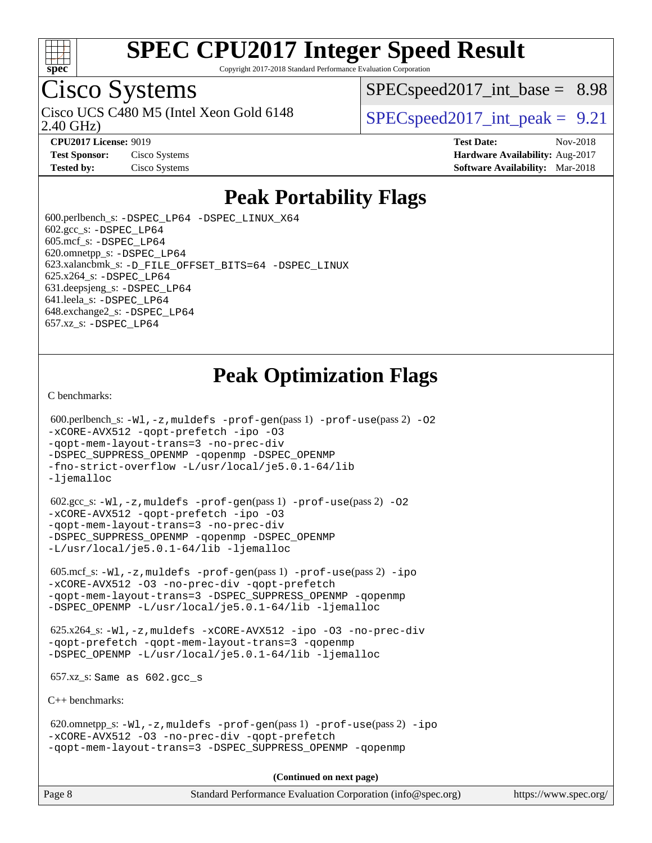

Copyright 2017-2018 Standard Performance Evaluation Corporation

## Cisco Systems

2.40 GHz) Cisco UCS C480 M5 (Intel Xeon Gold 6148  $\vert$  [SPECspeed2017\\_int\\_peak =](http://www.spec.org/auto/cpu2017/Docs/result-fields.html#SPECspeed2017intpeak) 9.21

 $SPECspeed2017\_int\_base = 8.98$ 

**[CPU2017 License:](http://www.spec.org/auto/cpu2017/Docs/result-fields.html#CPU2017License)** 9019 **[Test Date:](http://www.spec.org/auto/cpu2017/Docs/result-fields.html#TestDate)** Nov-2018 **[Test Sponsor:](http://www.spec.org/auto/cpu2017/Docs/result-fields.html#TestSponsor)** Cisco Systems **Cisco Systems [Hardware Availability:](http://www.spec.org/auto/cpu2017/Docs/result-fields.html#HardwareAvailability)** Aug-2017 **[Tested by:](http://www.spec.org/auto/cpu2017/Docs/result-fields.html#Testedby)** Cisco Systems **[Software Availability:](http://www.spec.org/auto/cpu2017/Docs/result-fields.html#SoftwareAvailability)** Mar-2018

### **[Peak Portability Flags](http://www.spec.org/auto/cpu2017/Docs/result-fields.html#PeakPortabilityFlags)**

 600.perlbench\_s: [-DSPEC\\_LP64](http://www.spec.org/cpu2017/results/res2018q4/cpu2017-20181127-09976.flags.html#b600.perlbench_s_peakPORTABILITY_DSPEC_LP64) [-DSPEC\\_LINUX\\_X64](http://www.spec.org/cpu2017/results/res2018q4/cpu2017-20181127-09976.flags.html#b600.perlbench_s_peakCPORTABILITY_DSPEC_LINUX_X64)  $602.\text{gcc}\$ s:  $-DSPEC$  LP64 605.mcf\_s: [-DSPEC\\_LP64](http://www.spec.org/cpu2017/results/res2018q4/cpu2017-20181127-09976.flags.html#suite_peakPORTABILITY605_mcf_s_DSPEC_LP64) 620.omnetpp\_s: [-DSPEC\\_LP64](http://www.spec.org/cpu2017/results/res2018q4/cpu2017-20181127-09976.flags.html#suite_peakPORTABILITY620_omnetpp_s_DSPEC_LP64) 623.xalancbmk\_s: [-D\\_FILE\\_OFFSET\\_BITS=64](http://www.spec.org/cpu2017/results/res2018q4/cpu2017-20181127-09976.flags.html#user_peakPORTABILITY623_xalancbmk_s_file_offset_bits_64_5ae949a99b284ddf4e95728d47cb0843d81b2eb0e18bdfe74bbf0f61d0b064f4bda2f10ea5eb90e1dcab0e84dbc592acfc5018bc955c18609f94ddb8d550002c) [-DSPEC\\_LINUX](http://www.spec.org/cpu2017/results/res2018q4/cpu2017-20181127-09976.flags.html#b623.xalancbmk_s_peakCXXPORTABILITY_DSPEC_LINUX) 625.x264\_s: [-DSPEC\\_LP64](http://www.spec.org/cpu2017/results/res2018q4/cpu2017-20181127-09976.flags.html#suite_peakPORTABILITY625_x264_s_DSPEC_LP64) 631.deepsjeng\_s: [-DSPEC\\_LP64](http://www.spec.org/cpu2017/results/res2018q4/cpu2017-20181127-09976.flags.html#suite_peakPORTABILITY631_deepsjeng_s_DSPEC_LP64) 641.leela\_s: [-DSPEC\\_LP64](http://www.spec.org/cpu2017/results/res2018q4/cpu2017-20181127-09976.flags.html#suite_peakPORTABILITY641_leela_s_DSPEC_LP64) 648.exchange2\_s: [-DSPEC\\_LP64](http://www.spec.org/cpu2017/results/res2018q4/cpu2017-20181127-09976.flags.html#suite_peakPORTABILITY648_exchange2_s_DSPEC_LP64) 657.xz\_s: [-DSPEC\\_LP64](http://www.spec.org/cpu2017/results/res2018q4/cpu2017-20181127-09976.flags.html#suite_peakPORTABILITY657_xz_s_DSPEC_LP64)

### **[Peak Optimization Flags](http://www.spec.org/auto/cpu2017/Docs/result-fields.html#PeakOptimizationFlags)**

[C benchmarks](http://www.spec.org/auto/cpu2017/Docs/result-fields.html#Cbenchmarks):

```
600.perlbench_s: -W1-prof-gen-prof-use(pass 2) -02
-xCORE-AVX512 -qopt-prefetch -ipo -O3
-qopt-mem-layout-trans=3 -no-prec-div
-DSPEC_SUPPRESS_OPENMP -qopenmp -DSPEC_OPENMP
-fno-strict-overflow -L/usr/local/je5.0.1-64/lib
-ljemalloc
 602.gcc_s: -Wl,-z,muldefs -prof-gen(pass 1) -prof-use(pass 2) -O2
-xCORE-AVX512 -qopt-prefetch -ipo -O3
-qopt-mem-layout-trans=3 -no-prec-div
-DSPEC_SUPPRESS_OPENMP -qopenmp -DSPEC_OPENMP
-L/usr/local/je5.0.1-64/lib -ljemalloc
 605.mcf_s: -Wl,-z,muldefs -prof-gen(pass 1) -prof-use(pass 2) -ipo
-xCORE-AVX512 -O3 -no-prec-div -qopt-prefetch
-qopt-mem-layout-trans=3 -DSPEC_SUPPRESS_OPENMP -qopenmp
-DSPEC_OPENMP -L/usr/local/je5.0.1-64/lib -ljemalloc
 625.x264_s: -Wl,-z,muldefs -xCORE-AVX512 -ipo -O3 -no-prec-div
-qopt-prefetch -qopt-mem-layout-trans=3 -qopenmp
-DSPEC_OPENMP -L/usr/local/je5.0.1-64/lib -ljemalloc
 657.xz_s: Same as 602.gcc_s
C++ benchmarks: 
 620.omnetpp_s: -Wl,-z,muldefs -prof-gen(pass 1) -prof-use(pass 2) -ipo
-xCORE-AVX512 -O3 -no-prec-div -qopt-prefetch
-qopt-mem-layout-trans=3 -DSPEC_SUPPRESS_OPENMP -qopenmp
```
**(Continued on next page)**

| Page 8 | Standard Performance Evaluation Corporation (info@spec.org) |  | https://www.spec.org/ |
|--------|-------------------------------------------------------------|--|-----------------------|
|--------|-------------------------------------------------------------|--|-----------------------|